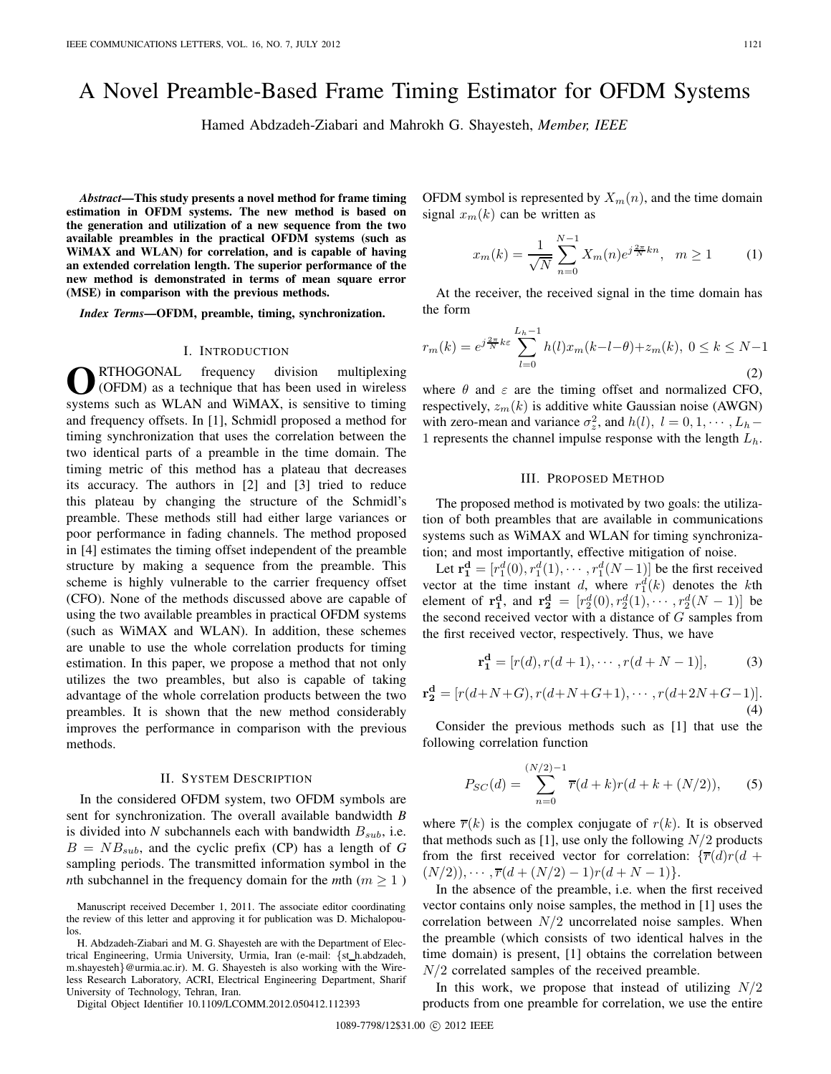# A Novel Preamble-Based Frame Timing Estimator for OFDM Systems

Hamed Abdzadeh-Ziabari and Mahrokh G. Shayesteh, *Member, IEEE*

*Abstract***—This study presents a novel method for frame timing estimation in OFDM systems. The new method is based on the generation and utilization of a new sequence from the two available preambles in the practical OFDM systems (such as WiMAX and WLAN) for correlation, and is capable of having an extended correlation length. The superior performance of the new method is demonstrated in terms of mean square error (MSE) in comparison with the previous methods.**

*Index Terms***—OFDM, preamble, timing, synchronization.**

### I. INTRODUCTION

**O**RTHOGONAL frequency division multiplexing<br>
(OFDM) as a technique that has been used in wireless systems such as WLAN and WiMAX, is sensitive to timing and frequency offsets. In [1], Schmidl proposed a method for timing synchronization that uses the correlation between the two identical parts of a preamble in the time domain. The timing metric of this method has a plateau that decreases its accuracy. The authors in [2] and [3] tried to reduce this plateau by changing the structure of the Schmidl's preamble. These methods still had either large variances or poor performance in fading channels. The method proposed in [4] estimates the timing offset independent of the preamble structure by making a sequence from the preamble. This scheme is highly vulnerable to the carrier frequency offset (CFO). None of the methods discussed above are capable of using the two available preambles in practical OFDM systems (such as WiMAX and WLAN). In addition, these schemes are unable to use the whole correlation products for timing estimation. In this paper, we propose a method that not only utilizes the two preambles, but also is capable of taking advantage of the whole correlation products between the two preambles. It is shown that the new method considerably improves the performance in comparison with the previous methods.

#### II. SYSTEM DESCRIPTION

In the considered OFDM system, two OFDM symbols are sent for synchronization. The overall available bandwidth *B* is divided into N subchannels each with bandwidth  $B_{sub}$ , i.e.  $B = NB_{sub}$ , and the cyclic prefix (CP) has a length of *G* sampling periods. The transmitted information symbol in the *n*th subchannel in the frequency domain for the *m*th ( $m \ge 1$ )

Manuscript received December 1, 2011. The associate editor coordinating the review of this letter and approving it for publication was D. Michalopoulos.

H. Abdzadeh-Ziabari and M. G. Shayesteh are with the Department of Electrical Engineering, Urmia University, Urmia, Iran (e-mail: {st h.abdzadeh, m.shayesteh}@urmia.ac.ir). M. G. Shayesteh is also working with the Wireless Research Laboratory, ACRI, Electrical Engineering Department, Sharif University of Technology, Tehran, Iran.

Digital Object Identifier 10.1109/LCOMM.2012.050412.112393

OFDM symbol is represented by  $X_m(n)$ , and the time domain signal  $x_m(k)$  can be written as

$$
x_m(k) = \frac{1}{\sqrt{N}} \sum_{n=0}^{N-1} X_m(n) e^{j\frac{2\pi}{N}kn}, \quad m \ge 1
$$
 (1)

At the receiver, the received signal in the time domain has the form

$$
r_m(k) = e^{j\frac{2\pi}{N}k\varepsilon} \sum_{l=0}^{L_h-1} h(l)x_m(k-l-\theta) + z_m(k), \ 0 \le k \le N-1
$$
\n(2)

where  $\theta$  and  $\varepsilon$  are the timing offset and normalized CFO, respectively,  $z_m(k)$  is additive white Gaussian noise (AWGN) with zero-mean and variance  $\sigma_z^2$ , and  $h(l)$ ,  $l = 0, 1, \dots, L_h$  – 1 represents the channel impulse response with the length  $L<sub>h</sub>$ .

#### III. PROPOSED METHOD

The proposed method is motivated by two goals: the utilization of both preambles that are available in communications systems such as WiMAX and WLAN for timing synchronization; and most importantly, effective mitigation of noise.

Let  $\mathbf{r_1^d} = [r_1^d(0), r_1^d(1), \cdots, r_1^d(N-1)]$  be the first received vector at the time instant d, where  $r_1^d(k)$  denotes the kth element of **r**<sup>d</sup><sub>1</sub>, and **r**<sup>d</sup><sub>2</sub> = [ $r_2^d(0), r_2^d(1), \cdots, r_2^d(N-1)$ ] be the second received vector with a distance of  $G$  samples from the first received vector, respectively. Thus, we have

$$
\mathbf{r_1^d} = [r(d), r(d+1), \cdots, r(d+N-1)],
$$
 (3)

$$
\mathbf{r_2^d} = [r(d+N+G), r(d+N+G+1), \cdots, r(d+2N+G-1)].
$$
\n(4)

Consider the previous methods such as [1] that use the following correlation function

$$
P_{SC}(d) = \sum_{n=0}^{(N/2)-1} \overline{r}(d+k)r(d+k+(N/2)),
$$
 (5)

where  $\overline{r}(k)$  is the complex conjugate of  $r(k)$ . It is observed that methods such as [1], use only the following  $N/2$  products from the first received vector for correlation:  $\{\overline{r}(d)r(d +$  $(N/2)), \cdots, \overline{r}(d+(N/2)-1)r(d+N-1)).$ 

In the absence of the preamble, i.e. when the first received vector contains only noise samples, the method in [1] uses the correlation between  $N/2$  uncorrelated noise samples. When the preamble (which consists of two identical halves in the time domain) is present, [1] obtains the correlation between  $N/2$  correlated samples of the received preamble.

In this work, we propose that instead of utilizing  $N/2$ products from one preamble for correlation, we use the entire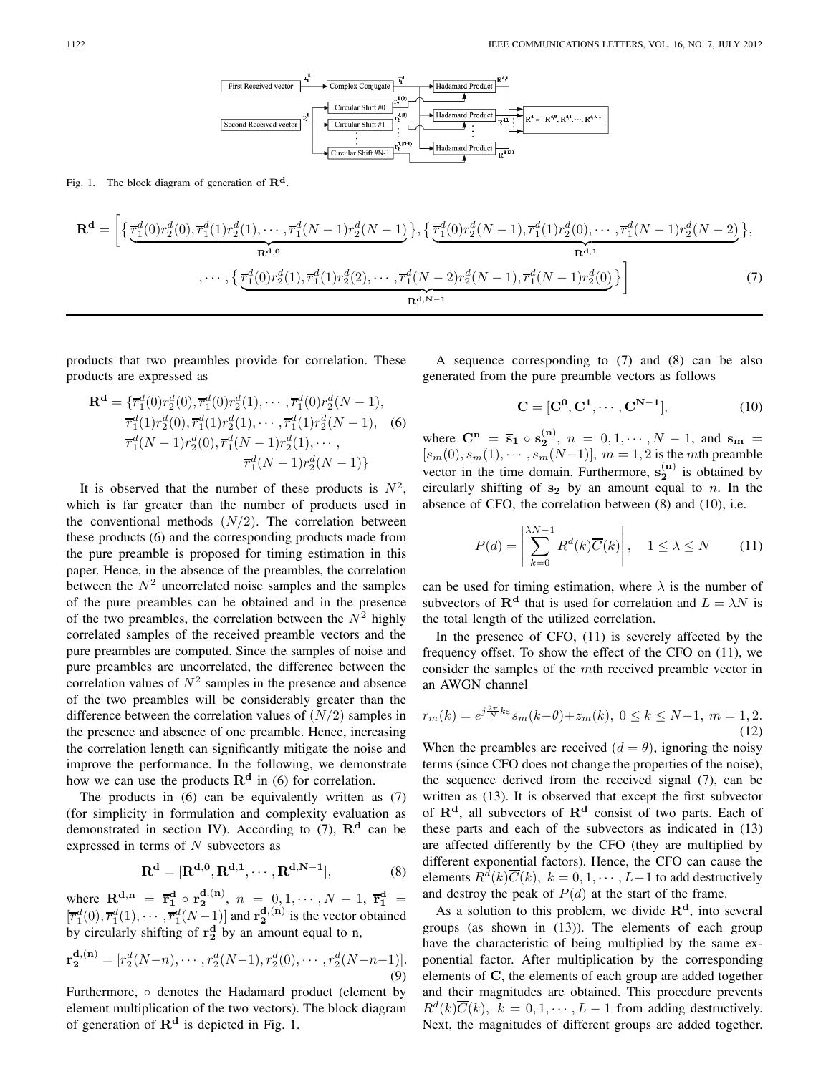

Fig. 1. The block diagram of generation of  $\mathbb{R}^d$ .

$$
\mathbf{R}^{\mathbf{d}} = \left[ \left\{ \frac{\overline{r}_1^d(0)r_2^d(0), \overline{r}_1^d(1)r_2^d(1), \cdots, \overline{r}_1^d(N-1)r_2^d(N-1)}{\mathbf{R}^{d,0}} \right\}, \left\{ \frac{\overline{r}_1^d(0)r_2^d(N-1), \overline{r}_1^d(1)r_2^d(0), \cdots, \overline{r}_1^d(N-1)r_2^d(N-2)}{\mathbf{R}^{d,1}} \right\}, \dots, \left\{ \frac{\overline{r}_1^d(0)r_2^d(1), \overline{r}_1^d(1)r_2^d(2), \cdots, \overline{r}_1^d(N-2)r_2^d(N-1), \overline{r}_1^d(N-1)r_2^d(0)}{\mathbf{R}^{d,N-1}} \right\} \right]
$$
(7)

products that two preambles provide for correlation. These products are expressed as

$$
\mathbf{R}^{\mathbf{d}} = \{ \overline{r}_1^d(0)r_2^d(0), \overline{r}_1^d(0)r_2^d(1), \cdots, \overline{r}_1^d(0)r_2^d(N-1),
$$
  
\n
$$
\overline{r}_1^d(1)r_2^d(0), \overline{r}_1^d(1)r_2^d(1), \cdots, \overline{r}_1^d(1)r_2^d(N-1),
$$
 (6)  
\n
$$
\overline{r}_1^d(N-1)r_2^d(0), \overline{r}_1^d(N-1)r_2^d(1), \cdots,
$$
  
\n
$$
\overline{r}_1^d(N-1)r_2^d(N-1)\}
$$

It is observed that the number of these products is  $N^2$ , which is far greater than the number of products used in the conventional methods  $(N/2)$ . The correlation between these products (6) and the corresponding products made from the pure preamble is proposed for timing estimation in this paper. Hence, in the absence of the preambles, the correlation between the  $N^2$  uncorrelated noise samples and the samples of the pure preambles can be obtained and in the presence of the two preambles, the correlation between the  $N^2$  highly correlated samples of the received preamble vectors and the pure preambles are computed. Since the samples of noise and pure preambles are uncorrelated, the difference between the correlation values of  $N^2$  samples in the presence and absence of the two preambles will be considerably greater than the difference between the correlation values of  $(N/2)$  samples in the presence and absence of one preamble. Hence, increasing the correlation length can significantly mitigate the noise and improve the performance. In the following, we demonstrate how we can use the products  $\mathbf{R}^d$  in (6) for correlation.

The products in (6) can be equivalently written as (7) (for simplicity in formulation and complexity evaluation as demonstrated in section IV). According to  $(7)$ ,  $\mathbb{R}^d$  can be expressed in terms of  $N$  subvectors as

$$
\mathbf{R}^{\mathbf{d}} = [\mathbf{R}^{\mathbf{d},0}, \mathbf{R}^{\mathbf{d},1}, \cdots, \mathbf{R}^{\mathbf{d},N-1}], \tag{8}
$$

where  $\mathbf{R}^{d,n} = \overline{\mathbf{r}}_1^d \circ \mathbf{r}_2^{d,(n)}$ ,  $n = 0, 1, \dots, N - 1$ ,  $\overline{\mathbf{r}}_1^d =$  $[\overline{r}_1^d(0), \overline{r}_1^d(1), \cdots, \overline{r}_1^d(N-1)]$  and  $\mathbf{r}_2^{d,(n)}$  is the vector obtained by circularly shifting of  $\mathbf{r}_2^d$  by an amount equal to n,

$$
\mathbf{r}_{2}^{\mathbf{d},(\mathbf{n})} = [r_{2}^{d}(N-n), \cdots, r_{2}^{d}(N-1), r_{2}^{d}(0), \cdots, r_{2}^{d}(N-n-1)].
$$
\n(9)

Furthermore, ◦ denotes the Hadamard product (element by element multiplication of the two vectors). The block diagram of generation of **R<sup>d</sup>** is depicted in Fig. 1.

A sequence corresponding to (7) and (8) can be also generated from the pure preamble vectors as follows

$$
\mathbf{C} = [\mathbf{C}^0, \mathbf{C}^1, \cdots, \mathbf{C}^{N-1}], \tag{10}
$$

where  $C^n = \bar{s}_1 \circ s_2^{(n)}$ ,  $n = 0, 1, \dots, N - 1$ , and  $s_m =$  $[s_m(0), s_m(1), \cdots, s_m(N-1)], m = 1, 2$  is the mth preamble vector in the time domain. Furthermore,  $s_2^{(n)}$  is obtained by circularly shifting of  $s_2$  by an amount equal to n. In the absence of CFO, the correlation between (8) and (10), i.e.

$$
P(d) = \left| \sum_{k=0}^{\lambda N - 1} R^d(k) \overline{C}(k) \right|, \quad 1 \le \lambda \le N \tag{11}
$$

can be used for timing estimation, where  $\lambda$  is the number of subvectors of  $\mathbf{R}^d$  that is used for correlation and  $L = \lambda N$  is the total length of the utilized correlation.

In the presence of CFO, (11) is severely affected by the frequency offset. To show the effect of the CFO on (11), we consider the samples of the mth received preamble vector in an AWGN channel

$$
r_m(k) = e^{j\frac{2\pi}{N}k\varepsilon} s_m(k-\theta) + z_m(k), \ 0 \le k \le N-1, \ m = 1, 2.
$$
\n(12)

When the preambles are received  $(d = \theta)$ , ignoring the noisy terms (since CFO does not change the properties of the noise), the sequence derived from the received signal (7), can be written as (13). It is observed that except the first subvector of **R<sup>d</sup>**, all subvectors of **R<sup>d</sup>** consist of two parts. Each of these parts and each of the subvectors as indicated in (13) are affected differently by the CFO (they are multiplied by different exponential factors). Hence, the CFO can cause the elements  $R^d(k)\overline{C}(k)$ ,  $k = 0, 1, \dots, L-1$  to add destructively and destroy the peak of  $P(d)$  at the start of the frame.

As a solution to this problem, we divide **R<sup>d</sup>**, into several groups (as shown in (13)). The elements of each group have the characteristic of being multiplied by the same exponential factor. After multiplication by the corresponding elements of **C**, the elements of each group are added together and their magnitudes are obtained. This procedure prevents  $R^{d}(k)\overline{C}(k)$ ,  $k = 0, 1, \cdots, L-1$  from adding destructively. Next, the magnitudes of different groups are added together.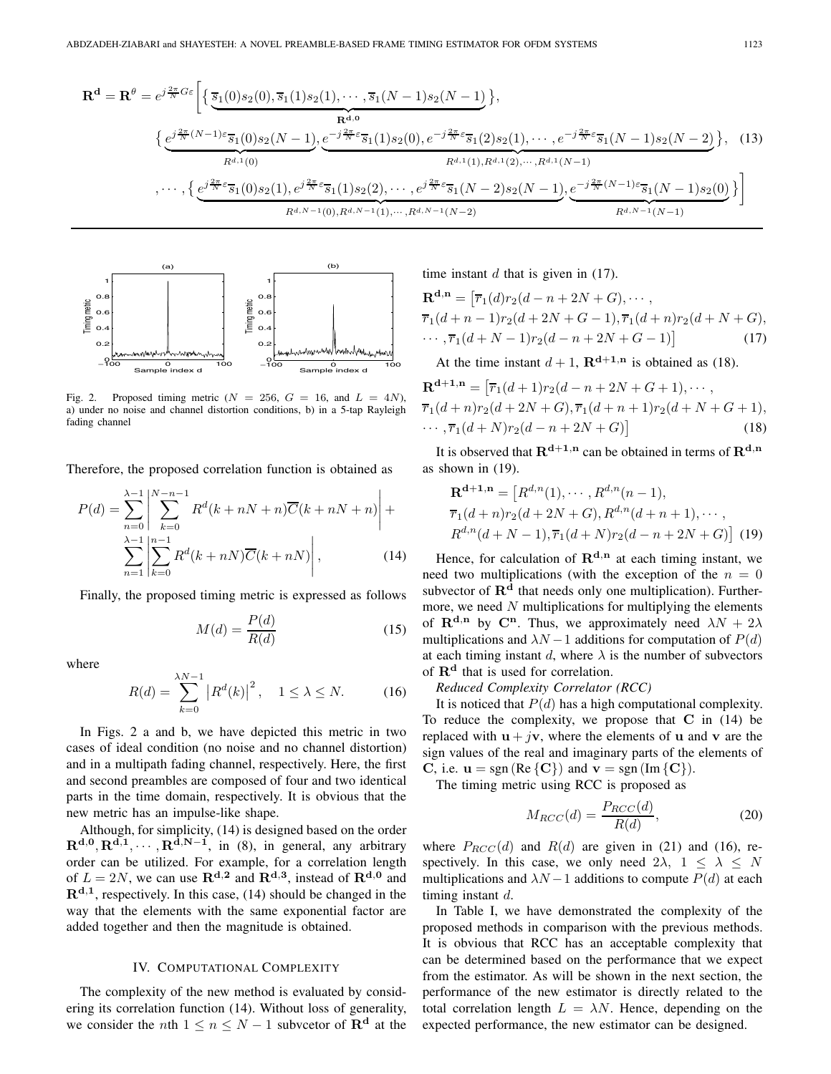$$
\mathbf{R}^{\mathbf{d}} = \mathbf{R}^{\theta} = e^{j\frac{2\pi}{N}G\varepsilon} \Bigg[ \Big\{ \underbrace{\overline{s}_{1}(0)s_{2}(0), \overline{s}_{1}(1)s_{2}(1), \cdots, \overline{s}_{1}(N-1)s_{2}(N-1)}_{\mathbf{R}^{\mathbf{d},0}} \Big\},
$$
\n
$$
\Big\{ \underbrace{e^{j\frac{2\pi}{N}(N-1)\varepsilon} \overline{s}_{1}(0)s_{2}(N-1)}_{R^{d,1}(0)}, \underbrace{e^{-j\frac{2\pi}{N}\varepsilon} \overline{s}_{1}(1)s_{2}(0), e^{-j\frac{2\pi}{N}\varepsilon} \overline{s}_{1}(2)s_{2}(1), \cdots, e^{-j\frac{2\pi}{N}\varepsilon} \overline{s}_{1}(N-1)s_{2}(N-2)}_{R^{d,1}(1)},
$$
\n
$$
\cdots, \Big\{ e^{j\frac{2\pi}{N}\varepsilon} \overline{s}_{1}(0)s_{2}(1), e^{j\frac{2\pi}{N}\varepsilon} \overline{s}_{1}(1)s_{2}(2), \cdots, e^{j\frac{2\pi}{N}\varepsilon} \overline{s}_{1}(N-2)s_{2}(N-1), e^{-j\frac{2\pi}{N}(N-1)\varepsilon} \overline{s}_{1}(N-1)s_{2}(0)}_{R^{d,N-1}(0), R^{d,N-1}(1), \cdots, R^{d,N-1}(N-2)} \Bigg]
$$
\n(13)



Fig. 2. Proposed timing metric ( $N = 256$ ,  $G = 16$ , and  $L = 4N$ ), a) under no noise and channel distortion conditions, b) in a 5-tap Rayleigh fading channel

Therefore, the proposed correlation function is obtained as

$$
P(d) = \sum_{n=0}^{\lambda-1} \left| \sum_{k=0}^{N-n-1} R^d(k+nN+n)\overline{C}(k+nN+n) \right| +
$$
  

$$
\sum_{n=1}^{\lambda-1} \left| \sum_{k=0}^{n-1} R^d(k+nN)\overline{C}(k+nN) \right|,
$$
 (14)

Finally, the proposed timing metric is expressed as follows

$$
M(d) = \frac{P(d)}{R(d)}\tag{15}
$$

where

$$
R(d) = \sum_{k=0}^{\lambda N - 1} |R^d(k)|^2, \quad 1 \le \lambda \le N. \tag{16}
$$

In Figs. 2 a and b, we have depicted this metric in two cases of ideal condition (no noise and no channel distortion) and in a multipath fading channel, respectively. Here, the first and second preambles are composed of four and two identical parts in the time domain, respectively. It is obvious that the new metric has an impulse-like shape.

Although, for simplicity, (14) is designed based on the order  $\mathbf{R}^{\mathbf{d},0}, \mathbf{R}^{\mathbf{d},1}, \cdots, \mathbf{R}^{\mathbf{d},N-1}$ , in (8), in general, any arbitrary order can be utilized. For example, for a correlation length of  $L = 2N$ , we can use  $\mathbb{R}^{d,2}$  and  $\mathbb{R}^{d,3}$ , instead of  $\mathbb{R}^{d,0}$  and  $\mathbf{R}^{d,1}$ , respectively. In this case, (14) should be changed in the way that the elements with the same exponential factor are added together and then the magnitude is obtained.

## IV. COMPUTATIONAL COMPLEXITY

The complexity of the new method is evaluated by considering its correlation function (14). Without loss of generality, we consider the *n*th  $1 \le n \le N - 1$  subvector of  $\mathbb{R}^d$  at the

time instant  $d$  that is given in (17).

$$
\mathbf{R}^{\mathbf{d},\mathbf{n}} = \left[ \overline{r}_1(d)r_2(d - n + 2N + G), \cdots, \n\overline{r}_1(d + n - 1)r_2(d + 2N + G - 1), \overline{r}_1(d + n)r_2(d + N + G), \cdots, \overline{r}_1(d + N - 1)r_2(d - n + 2N + G - 1) \right]
$$
\n(17)

At the time instant  $d+1$ ,  $\mathbf{R}^{d+1,n}$  is obtained as (18).

$$
\mathbf{R}^{\mathbf{d}+1,n} = \left[ \overline{r}_1(d+1)r_2(d-n+2N+G+1), \cdots, \n\overline{r}_1(d+n)r_2(d+2N+G), \overline{r}_1(d+n+1)r_2(d+N+G+1), \cdots, \overline{r}_1(d+N)r_2(d-n+2N+G) \right]
$$
\n(18)

It is observed that  $\mathbf{R}^{d+1,n}$  can be obtained in terms of  $\mathbf{R}^{d,n}$ as shown in (19).

$$
\mathbf{R}^{\mathbf{d}+1,\mathbf{n}} = [R^{d,n}(1), \cdots, R^{d,n}(n-1),
$$
  
\n
$$
\overline{r}_1(d+n)r_2(d+2N+G), R^{d,n}(d+n+1), \cdots,
$$
  
\n
$$
R^{d,n}(d+N-1), \overline{r}_1(d+N)r_2(d-n+2N+G)]
$$
 (19)

Hence, for calculation of  $\mathbb{R}^{d,n}$  at each timing instant, we need two multiplications (with the exception of the  $n = 0$ subvector of  $\mathbb{R}^d$  that needs only one multiplication). Furthermore, we need  $N$  multiplications for multiplying the elements of  $\mathbf{R}^{d,n}$  by  $\mathbf{C}^n$ . Thus, we approximately need  $\lambda N + 2\lambda$ multiplications and  $\lambda N - 1$  additions for computation of  $P(d)$ at each timing instant d, where  $\lambda$  is the number of subvectors of **R<sup>d</sup>** that is used for correlation.

*Reduced Complexity Correlator (RCC)*

It is noticed that  $P(d)$  has a high computational complexity. To reduce the complexity, we propose that **C** in (14) be replaced with  $\mathbf{u} + j\mathbf{v}$ , where the elements of **u** and **v** are the sign values of the real and imaginary parts of the elements of **C**, i.e.  $\mathbf{u} = \text{sgn}(\text{Re}\{\mathbf{C}\})$  and  $\mathbf{v} = \text{sgn}(\text{Im}\{\mathbf{C}\})$ .

The timing metric using RCC is proposed as

$$
M_{RCC}(d) = \frac{P_{RCC}(d)}{R(d)},
$$
\n(20)

where  $P_{RCC}(d)$  and  $R(d)$  are given in (21) and (16), respectively. In this case, we only need  $2\lambda$ ,  $1 \leq \lambda \leq N$ multiplications and  $\lambda N - 1$  additions to compute  $P(d)$  at each timing instant d.

In Table I, we have demonstrated the complexity of the proposed methods in comparison with the previous methods. It is obvious that RCC has an acceptable complexity that can be determined based on the performance that we expect from the estimator. As will be shown in the next section, the performance of the new estimator is directly related to the total correlation length  $L = \lambda N$ . Hence, depending on the expected performance, the new estimator can be designed.